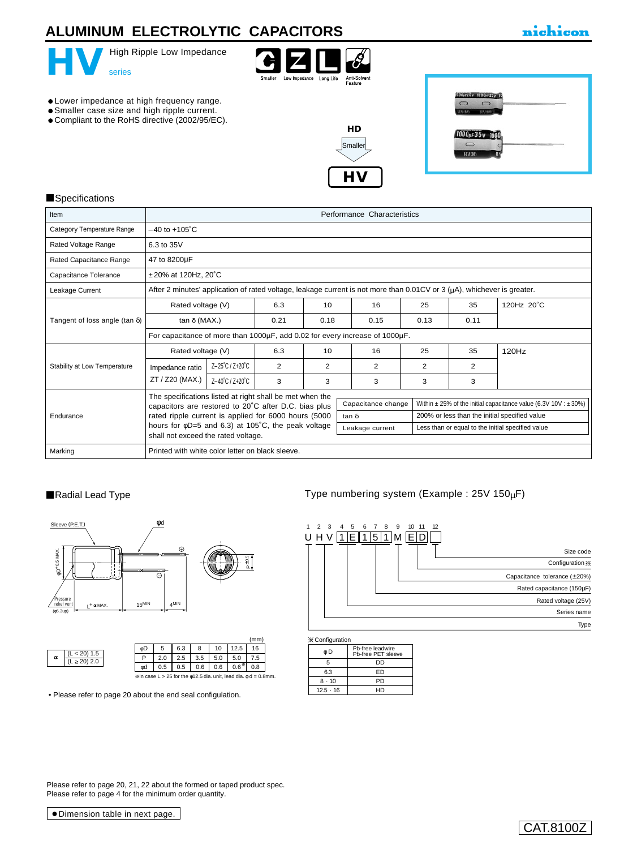# **ALUMINUM ELECTROLYTIC CAPACITORS**

# nichicon



### **Specifications**

| Item                                  | Performance Characteristics                                                                                                      |                           |                    |                                               |  |                                                                          |  |                |      |            |  |
|---------------------------------------|----------------------------------------------------------------------------------------------------------------------------------|---------------------------|--------------------|-----------------------------------------------|--|--------------------------------------------------------------------------|--|----------------|------|------------|--|
| Category Temperature Range            | $-40$ to $+105^{\circ}$ C                                                                                                        |                           |                    |                                               |  |                                                                          |  |                |      |            |  |
| Rated Voltage Range                   | 6.3 to 35V                                                                                                                       |                           |                    |                                               |  |                                                                          |  |                |      |            |  |
| Rated Capacitance Range               | 47 to 8200µF                                                                                                                     |                           |                    |                                               |  |                                                                          |  |                |      |            |  |
| Capacitance Tolerance                 |                                                                                                                                  | $±20\%$ at 120Hz, 20 $°C$ |                    |                                               |  |                                                                          |  |                |      |            |  |
| Leakage Current                       | After 2 minutes' application of rated voltage, leakage current is not more than 0.01CV or 3 ( $\mu$ A), whichever is greater.    |                           |                    |                                               |  |                                                                          |  |                |      |            |  |
|                                       | Rated voltage (V)                                                                                                                |                           | 6.3                | 10                                            |  | 16                                                                       |  | 25             | 35   | 120Hz 20°C |  |
| Tangent of loss angle (tan $\delta$ ) | tan δ (MAX.)                                                                                                                     |                           | 0.21               | 0.18                                          |  | 0.15                                                                     |  | 0.13           | 0.11 |            |  |
|                                       | For capacitance of more than 1000µF, add 0.02 for every increase of 1000µF.                                                      |                           |                    |                                               |  |                                                                          |  |                |      |            |  |
|                                       | Rated voltage (V)                                                                                                                |                           | 6.3                | 10                                            |  | 16                                                                       |  | 25             | 35   | 120Hz      |  |
| Stability at Low Temperature          | Impedance ratio                                                                                                                  | Z-25°C / Z+20°C           | 2                  | 2                                             |  | $\overline{2}$                                                           |  | $\overline{2}$ | 2    |            |  |
|                                       | ZT / Z20 (MAX.)                                                                                                                  | Z-40°C / Z+20°C           | 3                  | 3                                             |  | 3                                                                        |  | 3              | 3    |            |  |
|                                       | The specifications listed at right shall be met when the                                                                         |                           |                    |                                               |  |                                                                          |  |                |      |            |  |
| Endurance                             | capacitors are restored to 20°C after D.C. bias plus                                                                             |                           | Capacitance change |                                               |  | Within $\pm$ 25% of the initial capacitance value (6.3V 10V : $\pm$ 30%) |  |                |      |            |  |
|                                       | rated ripple current is applied for 6000 hours (5000                                                                             | tan δ                     |                    | 200% or less than the initial specified value |  |                                                                          |  |                |      |            |  |
|                                       | hours for $\phi$ D=5 and 6.3) at 105°C, the peak voltage<br>Leakage current<br>Less than or equal to the initial specified value |                           |                    |                                               |  |                                                                          |  |                |      |            |  |
|                                       | shall not exceed the rated voltage.                                                                                              |                           |                    |                                               |  |                                                                          |  |                |      |            |  |
| Marking                               | Printed with white color letter on black sleeve.                                                                                 |                           |                    |                                               |  |                                                                          |  |                |      |            |  |





• [Please refer to page 20 about the end seal configulation.](e-fuko.pdf)

### ■Radial Lead Type Type numbering system (Example : 25V 150µF)



φ D 5 Pb-free leadwire DD  $\mathbb X$  Configuration

| φD              | Pb-free PET sleeve |  |  |  |  |  |
|-----------------|--------------------|--|--|--|--|--|
| 5               | DD                 |  |  |  |  |  |
| 6.3             | ED                 |  |  |  |  |  |
| 8.10            | PD                 |  |  |  |  |  |
| $12.5 \cdot 16$ | HD                 |  |  |  |  |  |
|                 |                    |  |  |  |  |  |

Please refer to page 20, 21, 22 about the formed or taped product spec. Please refer to page 4 for the minimum order quantity.